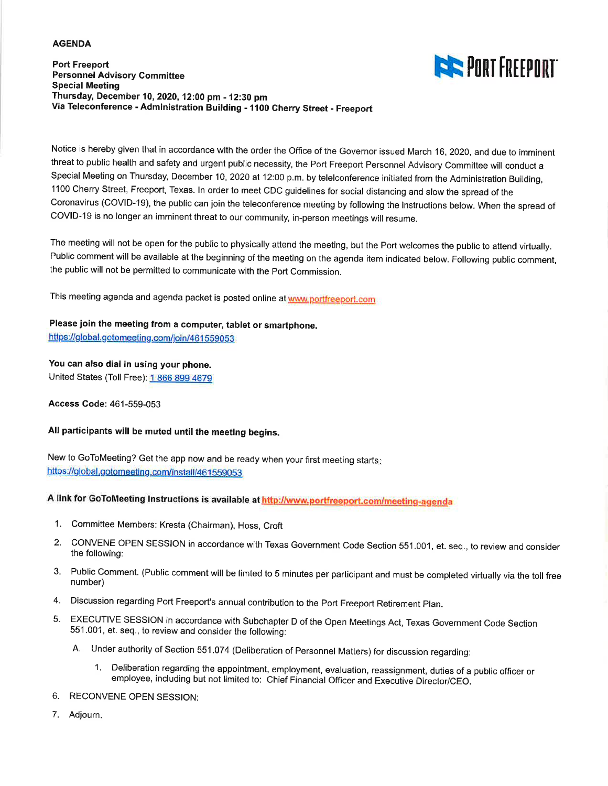#### **AGENDA**

**Port Freeport Personnel Advisory Committee Special Meeting** Thursday, December 10, 2020, 12:00 pm - 12:30 pm Via Teleconference - Administration Building - 1100 Cherry Street - Freeport



Notice is hereby given that in accordance with the order the Office of the Governor issued March 16, 2020, and due to imminent threat to public health and safety and urgent public necessity, the Port Freeport Personnel Advisory Committee will conduct a Special Meeting on Thursday, December 10, 2020 at 12:00 p.m. by telelconference initiated from the Administration Building, 1100 Cherry Street, Freeport, Texas. In order to meet CDC guidelines for social distancing and slow the spread of the Coronavirus (COVID-19), the public can join the teleconference meeting by following the instructions below. When the spread of COVID-19 is no longer an imminent threat to our community, in-person meetings will resume.

The meeting will not be open for the public to physically attend the meeting, but the Port welcomes the public to attend virtually. Public comment will be available at the beginning of the meeting on the agenda item indicated below. Following public comment, the public will not be permitted to communicate with the Port Commission.

This meeting agenda and agenda packet is posted online at www.portfreeport.com

Please join the meeting from a computer, tablet or smartphone.

https://global.gotomeeting.com/join/461559053

#### You can also dial in using your phone.

United States (Toll Free): 1 866 899 4679

Access Code: 461-559-053

## All participants will be muted until the meeting begins.

New to GoToMeeting? Get the app now and be ready when your first meeting starts; https://global.gotomeeting.com/install/461559053

A link for GoToMeeting Instructions is available at http://www.portfreeport.com/meeting-agenda

- 1. Committee Members: Kresta (Chairman), Hoss, Croft
- CONVENE OPEN SESSION in accordance with Texas Government Code Section 551.001, et. seq., to review and consider  $2.$ the following:
- 3. Public Comment. (Public comment will be limted to 5 minutes per participant and must be completed virtually via the toll free number)
- 4. Discussion regarding Port Freeport's annual contribution to the Port Freeport Retirement Plan.
- EXECUTIVE SESSION in accordance with Subchapter D of the Open Meetings Act, Texas Government Code Section 5. 551.001, et. seq., to review and consider the following:
	- A. Under authority of Section 551.074 (Deliberation of Personnel Matters) for discussion regarding:
		- 1. Deliberation regarding the appointment, employment, evaluation, reassignment, duties of a public officer or employee, including but not limited to: Chief Financial Officer and Executive Director/CEO.
- 6. RECONVENE OPEN SESSION:
- 7. Adjourn.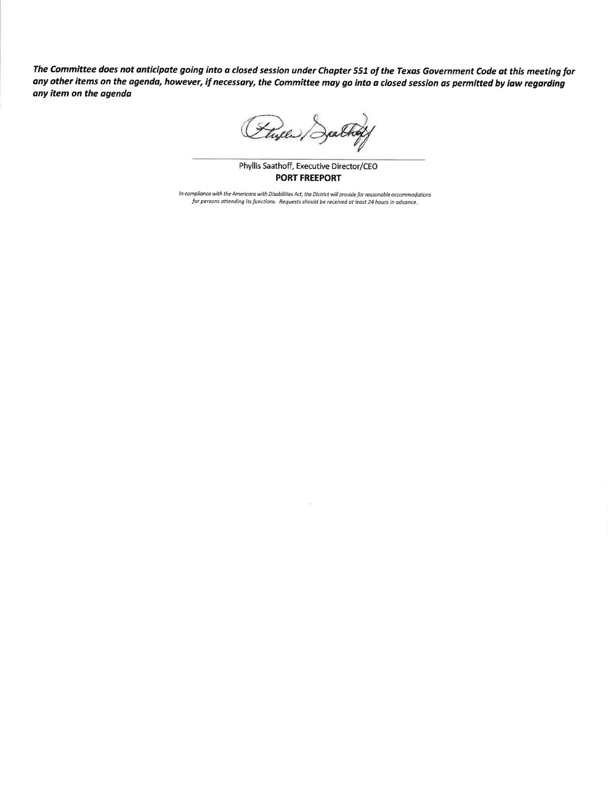The Committee does not anticipate going into a closed session under Chapter 551 of the Texas Government Code at this meeting for any other items on the agenda, however, if necessary, the Committee may go into a closed session as permitted by law regarding any item on the agenda

Flyele)

Phyllis Saathoff, Executive Director/CEO PORT FREEPORT

In compliance with the Americans with Disabilities Act, the District will provide for reasonable accommodations for persons attending its functions. Requests should be received at least 24 hours in advance,